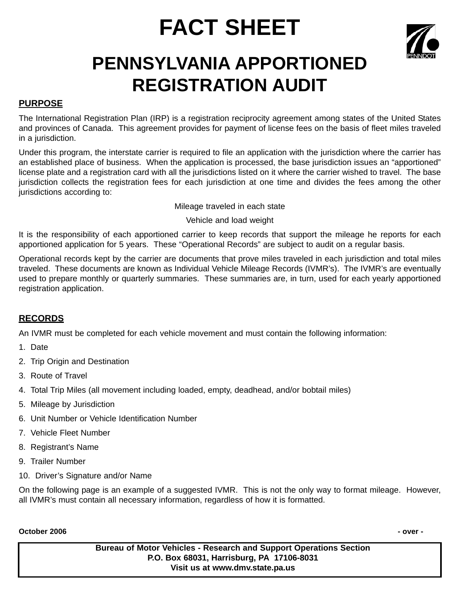# **FACT SHEET**



# **PENNSYLVANIA APPORTIONED REGISTRATION AUDIT**

### **PURPOSE**

The International Registration Plan (IRP) is a registration reciprocity agreement among states of the United States and provinces of Canada. This agreement provides for payment of license fees on the basis of fleet miles traveled in a jurisdiction.

Under this program, the interstate carrier is required to file an application with the jurisdiction where the carrier has an established place of business. When the application is processed, the base jurisdiction issues an "apportioned" license plate and a registration card with all the jurisdictions listed on it where the carrier wished to travel. The base jurisdiction collects the registration fees for each jurisdiction at one time and divides the fees among the other jurisdictions according to:

Mileage traveled in each state

Vehicle and load weight

It is the responsibility of each apportioned carrier to keep records that support the mileage he reports for each apportioned application for 5 years. These "Operational Records" are subject to audit on a regular basis.

Operational records kept by the carrier are documents that prove miles traveled in each jurisdiction and total miles traveled. These documents are known as Individual Vehicle Mileage Records (IVMR's). The IVMR's are eventually used to prepare monthly or quarterly summaries. These summaries are, in turn, used for each yearly apportioned registration application.

## **RECORDS**

An IVMR must be completed for each vehicle movement and must contain the following information:

- 1. Date
- 2. Trip Origin and Destination
- 3. Route of Travel
- 4. Total Trip Miles (all movement including loaded, empty, deadhead, and/or bobtail miles)
- 5. Mileage by Jurisdiction
- 6. Unit Number or Vehicle Identification Number
- 7. Vehicle Fleet Number
- 8. Registrant's Name
- 9. Trailer Number
- 10. Driver's Signature and/or Name

On the following page is an example of a suggested IVMR. This is not the only way to format mileage. However, all IVMR's must contain all necessary information, regardless of how it is formatted.

#### **October 2006 - over -**

**Bureau of Motor Vehicles - Research and Support Operations Section P.O. Box 68031, Harrisburg, PA 17106-8031 Visit us at www.dmv.state.pa.us**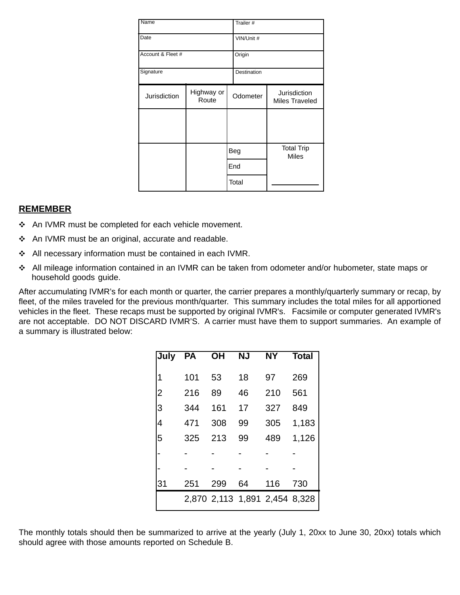| Name              |                     |     | Trailer #   |                                       |  |
|-------------------|---------------------|-----|-------------|---------------------------------------|--|
| Date              |                     |     | VIN/Unit #  |                                       |  |
| Account & Fleet # |                     |     | Origin      |                                       |  |
| Signature         |                     |     | Destination |                                       |  |
| Jurisdiction      | Highway or<br>Route |     | Odometer    | Jurisdiction<br><b>Miles Traveled</b> |  |
|                   |                     |     |             |                                       |  |
|                   |                     | Beg |             | <b>Total Trip</b><br><b>Miles</b>     |  |
|                   |                     |     | End         |                                       |  |
|                   |                     |     | Total       |                                       |  |

#### **REMEMBER**

- ❖ An IVMR must be completed for each vehicle movement.
- \* An IVMR must be an original, accurate and readable.
- ◆ All necessary information must be contained in each IVMR.
- \* All mileage information contained in an IVMR can be taken from odometer and/or hubometer, state maps or household goods guide.

After accumulating IVMR's for each month or quarter, the carrier prepares a monthly/quarterly summary or recap, by fleet, of the miles traveled for the previous month/quarter. This summary includes the total miles for all apportioned vehicles in the fleet. These recaps must be supported by original IVMR's. Facsimile or computer generated IVMR's are not acceptable. DO NOT DISCARD IVMR'S. A carrier must have them to support summaries. An example of a summary is illustrated below:

| July           | <b>PA</b> | <b>OH</b> | <b>NJ</b> | <b>NY</b>                     | <b>Total</b> |
|----------------|-----------|-----------|-----------|-------------------------------|--------------|
| 1              | 101       | 53        | 18        | 97                            | 269          |
| $\overline{2}$ | 216       | 89        | 46        | 210                           | 561          |
| 3              | 344       | 161       | 17        | 327                           | 849          |
| 4              | 471       | 308       | 99        | 305                           | 1,183        |
| 5              | 325       | 213       | 99        | 489                           | 1,126        |
|                |           |           |           |                               |              |
|                |           |           |           |                               |              |
| 31             | 251       | 299       | 64        | 116                           | 730          |
|                |           |           |           | 2,870 2,113 1,891 2,454 8,328 |              |

The monthly totals should then be summarized to arrive at the yearly (July 1, 20xx to June 30, 20xx) totals which should agree with those amounts reported on Schedule B.